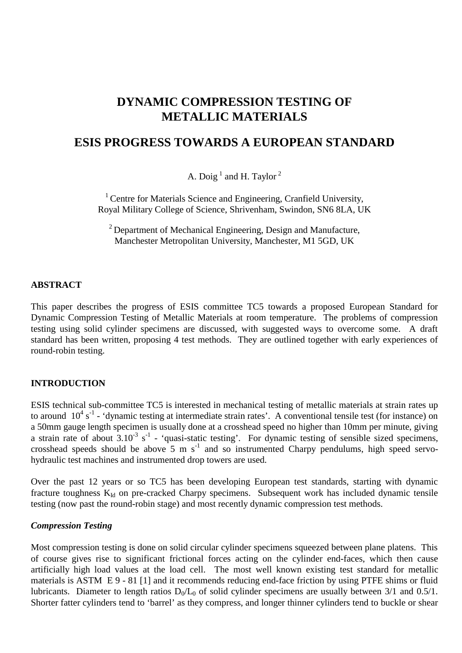# **DYNAMIC COMPRESSION TESTING OF METALLIC MATERIALS**

## **ESIS PROGRESS TOWARDS A EUROPEAN STANDARD**

A. Doig<sup>1</sup> and H. Taylor<sup>2</sup>

<sup>1</sup> Centre for Materials Science and Engineering, Cranfield University, Royal Military College of Science, Shrivenham, Swindon, SN6 8LA, UK

<sup>2</sup> Department of Mechanical Engineering, Design and Manufacture, Manchester Metropolitan University, Manchester, M1 5GD, UK

#### **ABSTRACT**

This paper describes the progress of ESIS committee TC5 towards a proposed European Standard for Dynamic Compression Testing of Metallic Materials at room temperature. The problems of compression testing using solid cylinder specimens are discussed, with suggested ways to overcome some. A draft standard has been written, proposing 4 test methods. They are outlined together with early experiences of round-robin testing.

#### **INTRODUCTION**

ESIS technical sub-committee TC5 is interested in mechanical testing of metallic materials at strain rates up to around  $10^4$  s<sup>-1</sup> - 'dynamic testing at intermediate strain rates'. A conventional tensile test (for instance) on a 50mm gauge length specimen is usually done at a crosshead speed no higher than 10mm per minute, giving a strain rate of about  $3.10^{-3}$  s<sup>-1</sup> - 'quasi-static testing'. For dynamic testing of sensible sized specimens, crosshead speeds should be above  $\overline{5}$  m s<sup>-1</sup> and so instrumented Charpy pendulums, high speed servohydraulic test machines and instrumented drop towers are used.

Over the past 12 years or so TC5 has been developing European test standards, starting with dynamic fracture toughness  $K_{Id}$  on pre-cracked Charpy specimens. Subsequent work has included dynamic tensile testing (now past the round-robin stage) and most recently dynamic compression test methods.

#### *Compression Testing*

Most compression testing is done on solid circular cylinder specimens squeezed between plane platens. This of course gives rise to significant frictional forces acting on the cylinder end-faces, which then cause artificially high load values at the load cell. The most well known existing test standard for metallic materials is ASTM E 9 - 81 [1] and it recommends reducing end-face friction by using PTFE shims or fluid lubricants. Diameter to length ratios  $D_0/L_0$  of solid cylinder specimens are usually between 3/1 and 0.5/1. Shorter fatter cylinders tend to 'barrel' as they compress, and longer thinner cylinders tend to buckle or shear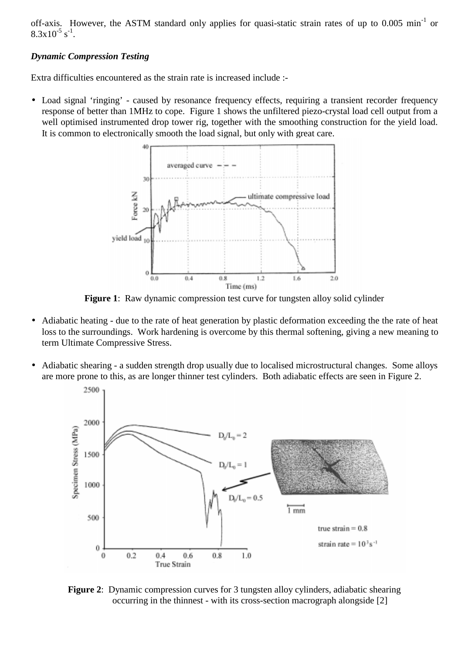off-axis. However, the ASTM standard only applies for quasi-static strain rates of up to 0.005 min<sup>-1</sup> or  $8.3x10^{-5}$  s<sup>-1</sup>.

## *Dynamic Compression Testing*

Extra difficulties encountered as the strain rate is increased include :-

• Load signal 'ringing' - caused by resonance frequency effects, requiring a transient recorder frequency response of better than 1MHz to cope. Figure 1 shows the unfiltered piezo-crystal load cell output from a well optimised instrumented drop tower rig, together with the smoothing construction for the yield load. It is common to electronically smooth the load signal, but only with great care.



**Figure 1**: Raw dynamic compression test curve for tungsten alloy solid cylinder

- Adiabatic heating due to the rate of heat generation by plastic deformation exceeding the the rate of heat loss to the surroundings. Work hardening is overcome by this thermal softening, giving a new meaning to term Ultimate Compressive Stress.
- Adiabatic shearing a sudden strength drop usually due to localised microstructural changes. Some alloys are more prone to this, as are longer thinner test cylinders. Both adiabatic effects are seen in Figure 2.



**Figure 2:** Dynamic compression curves for 3 tungsten alloy cylinders, adiabatic shearing occurring in the thinnest - with its cross-section macrograph alongside [2]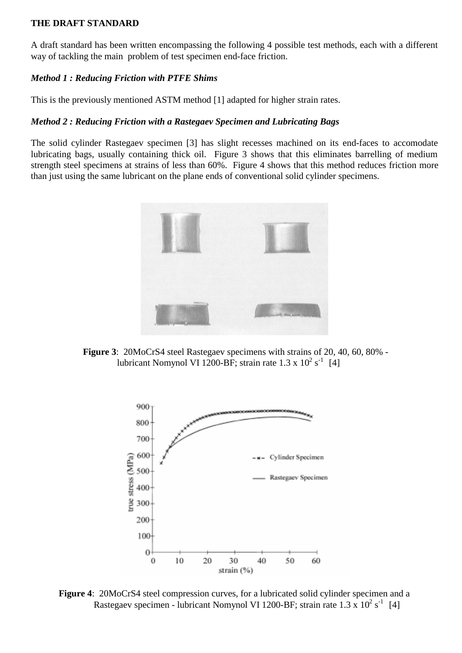#### **THE DRAFT STANDARD**

A draft standard has been written encompassing the following 4 possible test methods, each with a different way of tackling the main problem of test specimen end-face friction.

#### *Method 1 : Reducing Friction with PTFE Shims*

This is the previously mentioned ASTM method [1] adapted for higher strain rates.

#### *Method 2 : Reducing Friction with a Rastegaev Specimen and Lubricating Bags*

The solid cylinder Rastegaev specimen [3] has slight recesses machined on its end-faces to accomodate lubricating bags, usually containing thick oil. Figure 3 shows that this eliminates barrelling of medium strength steel specimens at strains of less than 60%. Figure 4 shows that this method reduces friction more than just using the same lubricant on the plane ends of conventional solid cylinder specimens.



**Figure 3**: 20MoCrS4 steel Rastegaev specimens with strains of 20, 40, 60, 80% lubricant Nomynol VI 1200-BF; strain rate  $1.3 \times 10^2$  s<sup>-1</sup> [4]



**Figure 4**: 20MoCrS4 steel compression curves, for a lubricated solid cylinder specimen and a Rastegaev specimen - lubricant Nomynol VI 1200-BF; strain rate  $1.3 \times 10^2$  s<sup>-1</sup> [4]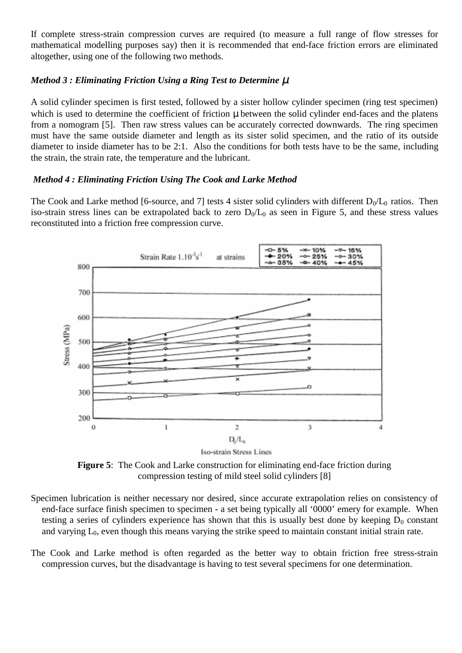If complete stress-strain compression curves are required (to measure a full range of flow stresses for mathematical modelling purposes say) then it is recommended that end-face friction errors are eliminated altogether, using one of the following two methods.

## *Method 3 : Eliminating Friction Using a Ring Test to Determine*  $\mu$

A solid cylinder specimen is first tested, followed by a sister hollow cylinder specimen (ring test specimen) which is used to determine the coefficient of friction  $\mu$  between the solid cylinder end-faces and the platens from a nomogram [5]. Then raw stress values can be accurately corrected downwards. The ring specimen must have the same outside diameter and length as its sister solid specimen, and the ratio of its outside diameter to inside diameter has to be 2:1. Also the conditions for both tests have to be the same, including the strain, the strain rate, the temperature and the lubricant.

## *Method 4 : Eliminating Friction Using The Cook and Larke Method*

The Cook and Larke method [6-source, and 7] tests 4 sister solid cylinders with different  $D_0/L_0$  ratios. Then iso-strain stress lines can be extrapolated back to zero  $D_0/L_0$  as seen in Figure 5, and these stress values reconstituted into a friction free compression curve.



Iso-strain Stress Lines

**Figure 5**: The Cook and Larke construction for eliminating end-face friction during compression testing of mild steel solid cylinders [8]

- Specimen lubrication is neither necessary nor desired, since accurate extrapolation relies on consistency of end-face surface finish specimen to specimen - a set being typically all '0000' emery for example. When testing a series of cylinders experience has shown that this is usually best done by keeping  $D_0$  constant and varying  $L_0$ , even though this means varying the strike speed to maintain constant initial strain rate.
- The Cook and Larke method is often regarded as the better way to obtain friction free stress-strain compression curves, but the disadvantage is having to test several specimens for one determination.